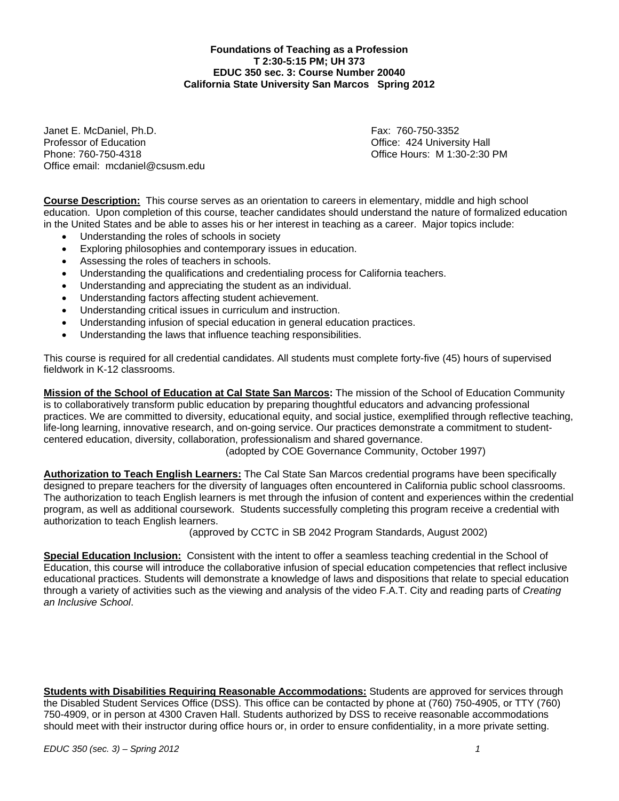**Foundations of Teaching as a Profession T 2:30-5:15 PM; UH 373 EDUC 350 sec. 3: Course Number 20040 California State University San Marcos Spring 2012**

Janet E. McDaniel, Ph.D. Fax: 760-750-3352 Professor of Education Office: 424 University Hall Office email: mcdaniel@csusm.edu

Office Hours: M 1:30-2:30 PM

**Course Description:** This course serves as an orientation to careers in elementary, middle and high school education. Upon completion of this course, teacher candidates should understand the nature of formalized education in the United States and be able to asses his or her interest in teaching as a career. Major topics include:

- Understanding the roles of schools in society
- Exploring philosophies and contemporary issues in education.
- Assessing the roles of teachers in schools.
- Understanding the qualifications and credentialing process for California teachers.
- Understanding and appreciating the student as an individual.
- Understanding factors affecting student achievement.
- Understanding critical issues in curriculum and instruction.
- Understanding infusion of special education in general education practices.
- Understanding the laws that influence teaching responsibilities.

This course is required for all credential candidates. All students must complete forty-five (45) hours of supervised fieldwork in K-12 classrooms.

**Mission of the School of Education at Cal State San Marcos:** The mission of the School of Education Community is to collaboratively transform public education by preparing thoughtful educators and advancing professional practices. We are committed to diversity, educational equity, and social justice, exemplified through reflective teaching, life-long learning, innovative research, and on-going service. Our practices demonstrate a commitment to studentcentered education, diversity, collaboration, professionalism and shared governance.

(adopted by COE Governance Community, October 1997)

**Authorization to Teach English Learners:** The Cal State San Marcos credential programs have been specifically designed to prepare teachers for the diversity of languages often encountered in California public school classrooms. The authorization to teach English learners is met through the infusion of content and experiences within the credential program, as well as additional coursework. Students successfully completing this program receive a credential with authorization to teach English learners.

(approved by CCTC in SB 2042 Program Standards, August 2002)

 **Special Education Inclusion:** Consistent with the intent to offer a seamless teaching credential in the School of Education, this course will introduce the collaborative infusion of special education competencies that reflect inclusive educational practices. Students will demonstrate a knowledge of laws and dispositions that relate to special education through a variety of activities such as the viewing and analysis of the video F.A.T. City and reading parts of *Creating an Inclusive School*.

**Students with Disabilities Requiring Reasonable Accommodations:** Students are approved for services through the Disabled Student Services Office (DSS). This office can be contacted by phone at (760) 750-4905, or TTY (760) 750-4909, or in person at 4300 Craven Hall. Students authorized by DSS to receive reasonable accommodations should meet with their instructor during office hours or, in order to ensure confidentiality, in a more private setting.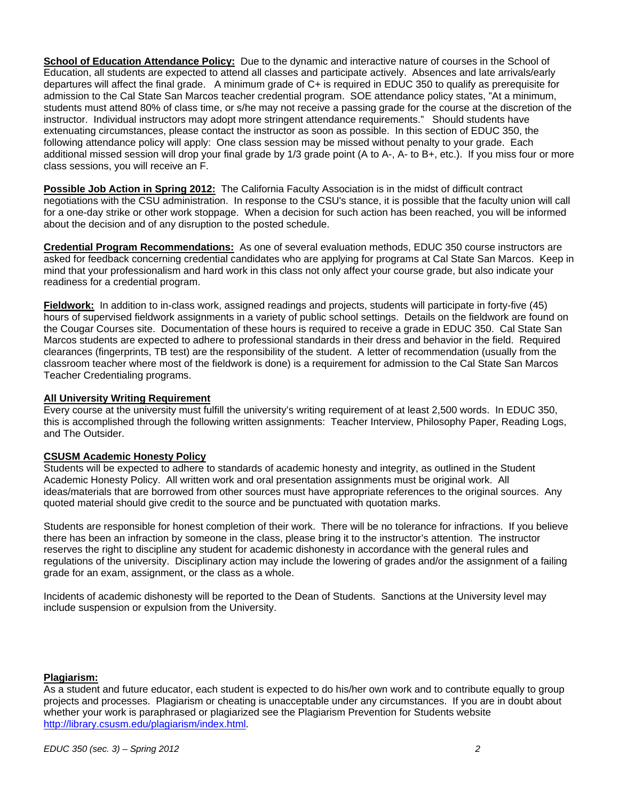**School of Education Attendance Policy:** Due to the dynamic and interactive nature of courses in the School of Education, all students are expected to attend all classes and participate actively. Absences and late arrivals/early departures will affect the final grade. A minimum grade of C+ is required in EDUC 350 to qualify as prerequisite for admission to the Cal State San Marcos teacher credential program. SOE attendance policy states, "At a minimum, students must attend 80% of class time, or s/he may not receive a passing grade for the course at the discretion of the instructor. Individual instructors may adopt more stringent attendance requirements." Should students have extenuating circumstances, please contact the instructor as soon as possible. In this section of EDUC 350, the following attendance policy will apply: One class session may be missed without penalty to your grade. Each additional missed session will drop your final grade by 1/3 grade point (A to A-, A- to B+, etc.). If you miss four or more class sessions, you will receive an F.

**Possible Job Action in Spring 2012:** The California Faculty Association is in the midst of difficult contract negotiations with the CSU administration. In response to the CSU's stance, it is possible that the faculty union will call for a one-day strike or other work stoppage. When a decision for such action has been reached, you will be informed about the decision and of any disruption to the posted schedule.

**Credential Program Recommendations:** As one of several evaluation methods, EDUC 350 course instructors are asked for feedback concerning credential candidates who are applying for programs at Cal State San Marcos. Keep in mind that your professionalism and hard work in this class not only affect your course grade, but also indicate your readiness for a credential program.

**Fieldwork:** In addition to in-class work, assigned readings and projects, students will participate in forty-five (45) hours of supervised fieldwork assignments in a variety of public school settings. Details on the fieldwork are found on the Cougar Courses site. Documentation of these hours is required to receive a grade in EDUC 350. Cal State San Marcos students are expected to adhere to professional standards in their dress and behavior in the field. Required clearances (fingerprints, TB test) are the responsibility of the student. A letter of recommendation (usually from the classroom teacher where most of the fieldwork is done) is a requirement for admission to the Cal State San Marcos Teacher Credentialing programs.

#### **All University Writing Requirement**

Every course at the university must fulfill the university's writing requirement of at least 2,500 words. In EDUC 350, this is accomplished through the following written assignments: Teacher Interview, Philosophy Paper, Reading Logs, and The Outsider.

## **CSUSM Academic Honesty Policy**

Students will be expected to adhere to standards of academic honesty and integrity, as outlined in the Student Academic Honesty Policy. All written work and oral presentation assignments must be original work. All ideas/materials that are borrowed from other sources must have appropriate references to the original sources. Any quoted material should give credit to the source and be punctuated with quotation marks.

Students are responsible for honest completion of their work. There will be no tolerance for infractions. If you believe there has been an infraction by someone in the class, please bring it to the instructor's attention. The instructor reserves the right to discipline any student for academic dishonesty in accordance with the general rules and regulations of the university. Disciplinary action may include the lowering of grades and/or the assignment of a failing grade for an exam, assignment, or the class as a whole.

Incidents of academic dishonesty will be reported to the Dean of Students. Sanctions at the University level may include suspension or expulsion from the University.

#### **Plagiarism:**

As a student and future educator, each student is expected to do his/her own work and to contribute equally to group projects and processes. Plagiarism or cheating is unacceptable under any circumstances. If you are in doubt about whether your work is paraphrased or plagiarized see the Plagiarism Prevention for Students website http://library.csusm.edu/plagiarism/index.html.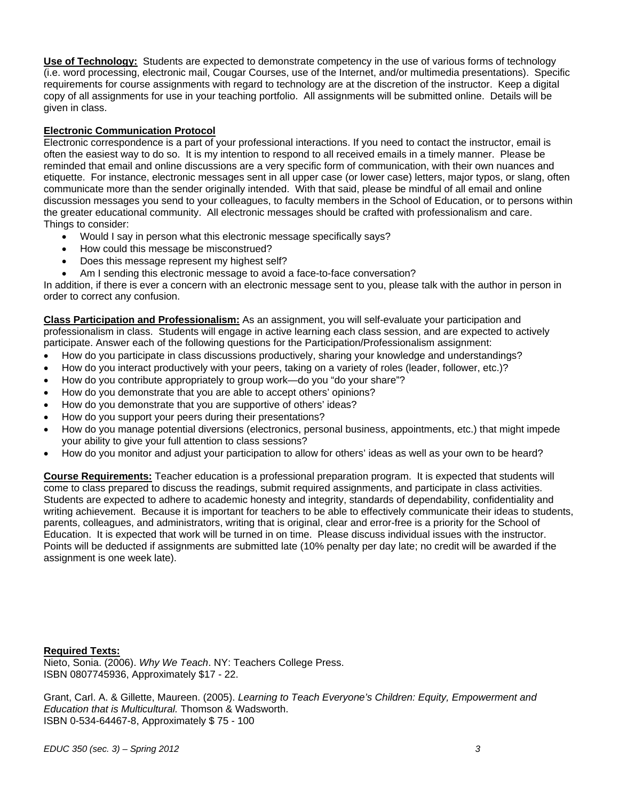**Use of Technology:** Students are expected to demonstrate competency in the use of various forms of technology (i.e. word processing, electronic mail, Cougar Courses, use of the Internet, and/or multimedia presentations). Specific requirements for course assignments with regard to technology are at the discretion of the instructor. Keep a digital copy of all assignments for use in your teaching portfolio. All assignments will be submitted online. Details will be given in class.

## **Electronic Communication Protocol**

Electronic correspondence is a part of your professional interactions. If you need to contact the instructor, email is often the easiest way to do so. It is my intention to respond to all received emails in a timely manner. Please be reminded that email and online discussions are a very specific form of communication, with their own nuances and etiquette. For instance, electronic messages sent in all upper case (or lower case) letters, major typos, or slang, often communicate more than the sender originally intended. With that said, please be mindful of all email and online discussion messages you send to your colleagues, to faculty members in the School of Education, or to persons within the greater educational community. All electronic messages should be crafted with professionalism and care. Things to consider:

- Would I say in person what this electronic message specifically says?
- How could this message be misconstrued?
- Does this message represent my highest self?
- Am I sending this electronic message to avoid a face-to-face conversation?

In addition, if there is ever a concern with an electronic message sent to you, please talk with the author in person in order to correct any confusion.

**Class Participation and Professionalism:** As an assignment, you will self-evaluate your participation and professionalism in class. Students will engage in active learning each class session, and are expected to actively participate. Answer each of the following questions for the Participation/Professionalism assignment:

- How do you participate in class discussions productively, sharing your knowledge and understandings?
- How do you interact productively with your peers, taking on a variety of roles (leader, follower, etc.)?
- How do you contribute appropriately to group work—do you "do your share"?
- How do you demonstrate that you are able to accept others' opinions?
- How do you demonstrate that you are supportive of others' ideas?
- How do you support your peers during their presentations?
- How do you manage potential diversions (electronics, personal business, appointments, etc.) that might impede your ability to give your full attention to class sessions?
- How do you monitor and adjust your participation to allow for others' ideas as well as your own to be heard?

**Course Requirements:** Teacher education is a professional preparation program. It is expected that students will come to class prepared to discuss the readings, submit required assignments, and participate in class activities. Students are expected to adhere to academic honesty and integrity, standards of dependability, confidentiality and writing achievement. Because it is important for teachers to be able to effectively communicate their ideas to students, parents, colleagues, and administrators, writing that is original, clear and error-free is a priority for the School of Education. It is expected that work will be turned in on time. Please discuss individual issues with the instructor. Points will be deducted if assignments are submitted late (10% penalty per day late; no credit will be awarded if the assignment is one week late).

#### **Required Texts:**

Nieto, Sonia. (2006). *Why We Teach*. NY: Teachers College Press. ISBN 0807745936, Approximately \$17 - 22.

Grant, Carl. A. & Gillette, Maureen. (2005). *Learning to Teach Everyone's Children: Equity, Empowerment and Education that is Multicultural.* Thomson & Wadsworth. ISBN 0-534-64467-8, Approximately \$ 75 - 100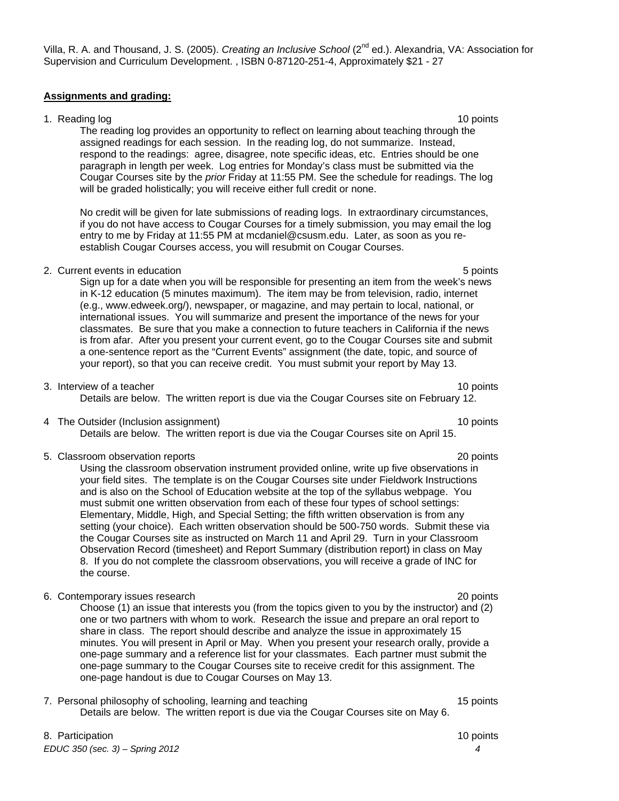## 7. Personal philosophy of schooling, learning and teaching 15 points 15 points Details are below. The written report is due via the Cougar Courses site on May 6.

8. Participation **10** points **10** points **10** points **10** points *EDUC 350 (sec. 3) – Spring 2012 4* 

# Villa, R. A. and Thousand, J. S. (2005). *Creating an Inclusive School* (2nd ed.). Alexandria, VA: Association for Supervision and Curriculum Development. , ISBN 0-87120-251-4, Approximately \$21 - 27

## **Assignments and grading:**

## 1. Reading log 10 points and 10 points and 10 points and 10 points are not been applied by the 10 points of the 10 points and 10 points are not been applied by the 10 points of the 10 points and 10 points are not been appl

The reading log provides an opportunity to reflect on learning about teaching through the assigned readings for each session. In the reading log, do not summarize. Instead, respond to the readings: agree, disagree, note specific ideas, etc. Entries should be one paragraph in length per week. Log entries for Monday's class must be submitted via the Cougar Courses site by the *prior* Friday at 11:55 PM. See the schedule for readings. The log will be graded holistically; you will receive either full credit or none.

No credit will be given for late submissions of reading logs. In extraordinary circumstances, if you do not have access to Cougar Courses for a timely submission, you may email the log entry to me by Friday at 11:55 PM at mcdaniel@csusm.edu. Later, as soon as you reestablish Cougar Courses access, you will resubmit on Cougar Courses.

## 2. Current events in education 6 points of the state of the state of the state of the state of the state of the state of the state of the state of the state of the state of the state of the state of the state of the state

Sign up for a date when you will be responsible for presenting an item from the week's news in K-12 education (5 minutes maximum). The item may be from television, radio, internet (e.g., www.edweek.org/), newspaper, or magazine, and may pertain to local, national, or international issues. You will summarize and present the importance of the news for your classmates. Be sure that you make a connection to future teachers in California if the news is from afar. After you present your current event, go to the Cougar Courses site and submit a one-sentence report as the "Current Events" assignment (the date, topic, and source of your report), so that you can receive credit. You must submit your report by May 13.

#### 3. Interview of a teacher 10 points and the set of the set of the set of the set of the set of the set of the set of the set of the set of the set of the set of the set of the set of the set of the set of the set of the se Details are below. The written report is due via the Cougar Courses site on February 12.

4 The Outsider (Inclusion assignment) 10 points

Details are below. The written report is due via the Cougar Courses site on April 15.

5. Classroom observation reports 20 points

Using the classroom observation instrument provided online, write up five observations in your field sites. The template is on the Cougar Courses site under Fieldwork Instructions and is also on the School of Education website at the top of the syllabus webpage. You must submit one written observation from each of these four types of school settings: Elementary, Middle, High, and Special Setting; the fifth written observation is from any setting (your choice). Each written observation should be 500-750 words. Submit these via the Cougar Courses site as instructed on March 11 and April 29. Turn in your Classroom Observation Record (timesheet) and Report Summary (distribution report) in class on May 8. If you do not complete the classroom observations, you will receive a grade of INC for the course.

6. Contemporary issues research 20 points

Choose (1) an issue that interests you (from the topics given to you by the instructor) and (2) one or two partners with whom to work. Research the issue and prepare an oral report to share in class. The report should describe and analyze the issue in approximately 15 minutes. You will present in April or May. When you present your research orally, provide a one-page summary and a reference list for your classmates. Each partner must submit the one-page summary to the Cougar Courses site to receive credit for this assignment. The one-page handout is due to Cougar Courses on May 13.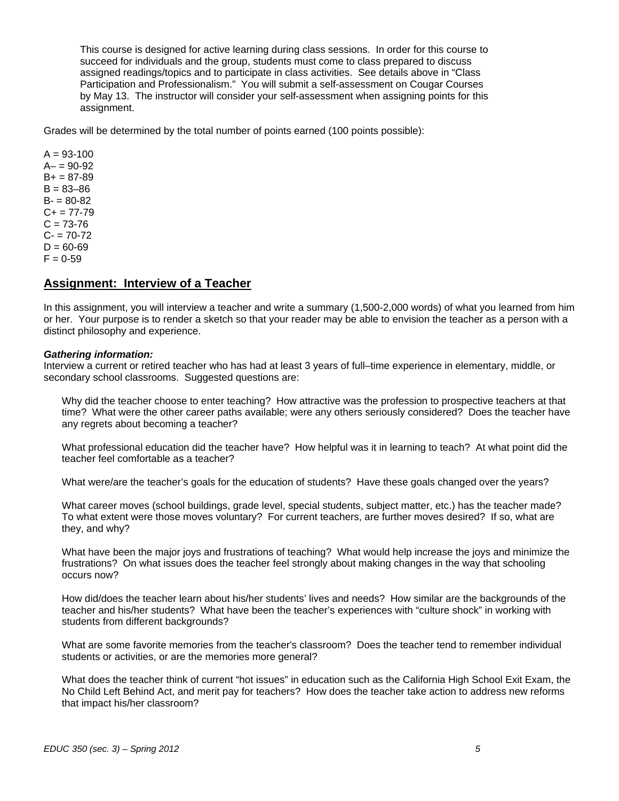This course is designed for active learning during class sessions. In order for this course to succeed for individuals and the group, students must come to class prepared to discuss assigned readings/topics and to participate in class activities. See details above in "Class Participation and Professionalism." You will submit a self-assessment on Cougar Courses by May 13. The instructor will consider your self-assessment when assigning points for this assignment.

Grades will be determined by the total number of points earned (100 points possible):

 $A = 93 - 100$  $A - 90 - 92$  $B+ = 87-89$  $B = 83 - 86$  $B - 80 - 82$  $C+= 77-79$  $C = 73 - 76$  $C - 70 - 72$  $D = 60 - 69$  $F = 0.59$ 

# **Assignment: Interview of a Teacher**

In this assignment, you will interview a teacher and write a summary (1,500-2,000 words) of what you learned from him or her. Your purpose is to render a sketch so that your reader may be able to envision the teacher as a person with a distinct philosophy and experience.

#### *Gathering information:*

Interview a current or retired teacher who has had at least 3 years of full–time experience in elementary, middle, or secondary school classrooms. Suggested questions are:

Why did the teacher choose to enter teaching? How attractive was the profession to prospective teachers at that time? What were the other career paths available; were any others seriously considered? Does the teacher have any regrets about becoming a teacher?

What professional education did the teacher have? How helpful was it in learning to teach? At what point did the teacher feel comfortable as a teacher?

What were/are the teacher's goals for the education of students? Have these goals changed over the years?

What career moves (school buildings, grade level, special students, subject matter, etc.) has the teacher made? To what extent were those moves voluntary? For current teachers, are further moves desired? If so, what are they, and why?

What have been the major joys and frustrations of teaching? What would help increase the joys and minimize the frustrations? On what issues does the teacher feel strongly about making changes in the way that schooling occurs now?

How did/does the teacher learn about his/her students' lives and needs? How similar are the backgrounds of the teacher and his/her students? What have been the teacher's experiences with "culture shock" in working with students from different backgrounds?

What are some favorite memories from the teacher's classroom? Does the teacher tend to remember individual students or activities, or are the memories more general?

What does the teacher think of current "hot issues" in education such as the California High School Exit Exam, the No Child Left Behind Act, and merit pay for teachers? How does the teacher take action to address new reforms that impact his/her classroom?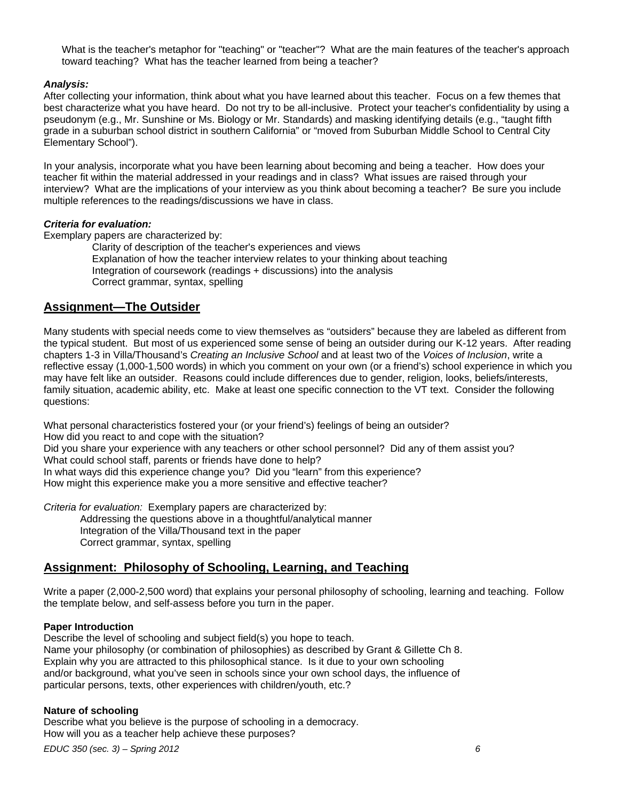What is the teacher's metaphor for "teaching" or "teacher"? What are the main features of the teacher's approach toward teaching? What has the teacher learned from being a teacher?

#### *Analysis:*

After collecting your information, think about what you have learned about this teacher. Focus on a few themes that best characterize what you have heard. Do not try to be all-inclusive. Protect your teacher's confidentiality by using a pseudonym (e.g., Mr. Sunshine or Ms. Biology or Mr. Standards) and masking identifying details (e.g., "taught fifth grade in a suburban school district in southern California" or "moved from Suburban Middle School to Central City Elementary School").

In your analysis, incorporate what you have been learning about becoming and being a teacher. How does your teacher fit within the material addressed in your readings and in class? What issues are raised through your interview? What are the implications of your interview as you think about becoming a teacher? Be sure you include multiple references to the readings/discussions we have in class.

#### *Criteria for evaluation:*

Exemplary papers are characterized by:

Clarity of description of the teacher's experiences and views Explanation of how the teacher interview relates to your thinking about teaching Integration of coursework (readings + discussions) into the analysis Correct grammar, syntax, spelling

# **Assignment—The Outsider**

Many students with special needs come to view themselves as "outsiders" because they are labeled as different from the typical student. But most of us experienced some sense of being an outsider during our K-12 years. After reading chapters 1-3 in Villa/Thousand's *Creating an Inclusive School* and at least two of the *Voices of Inclusion*, write a reflective essay (1,000-1,500 words) in which you comment on your own (or a friend's) school experience in which you may have felt like an outsider. Reasons could include differences due to gender, religion, looks, beliefs/interests, family situation, academic ability, etc. Make at least one specific connection to the VT text. Consider the following questions:

What personal characteristics fostered your (or your friend's) feelings of being an outsider? How did you react to and cope with the situation? Did you share your experience with any teachers or other school personnel? Did any of them assist you? What could school staff, parents or friends have done to help? In what ways did this experience change you? Did you "learn" from this experience? How might this experience make you a more sensitive and effective teacher?

*Criteria for evaluation:* Exemplary papers are characterized by: Addressing the questions above in a thoughtful/analytical manner Integration of the Villa/Thousand text in the paper Correct grammar, syntax, spelling

## **Assignment: Philosophy of Schooling, Learning, and Teaching**

Write a paper (2,000-2,500 word) that explains your personal philosophy of schooling, learning and teaching. Follow the template below, and self-assess before you turn in the paper.

#### **Paper Introduction**

Describe the level of schooling and subject field(s) you hope to teach. Name your philosophy (or combination of philosophies) as described by Grant & Gillette Ch 8. Explain why you are attracted to this philosophical stance. Is it due to your own schooling and/or background, what you've seen in schools since your own school days, the influence of particular persons, texts, other experiences with children/youth, etc.?

#### **Nature of schooling**

Describe what you believe is the purpose of schooling in a democracy. How will you as a teacher help achieve these purposes?

*EDUC 350 (sec. 3) – Spring 2012 6*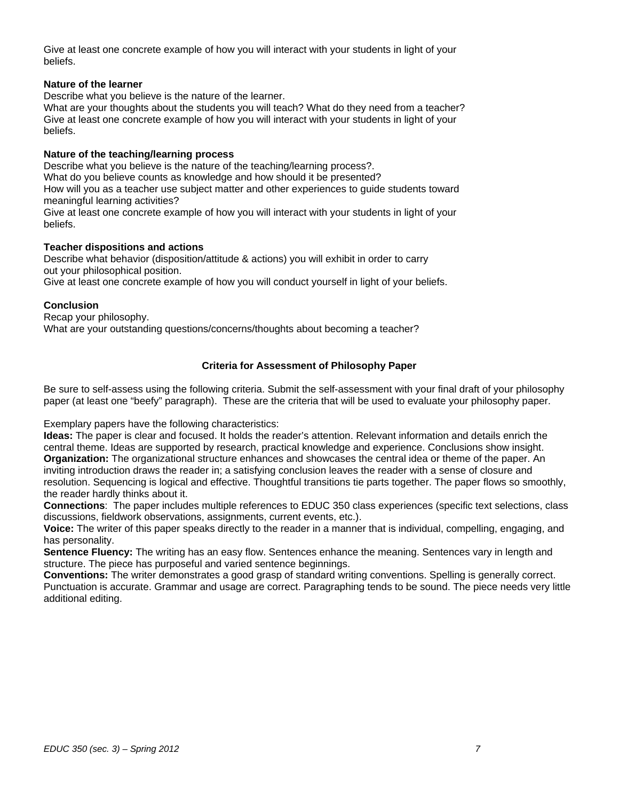Give at least one concrete example of how you will interact with your students in light of your beliefs.

#### **Nature of the learner**

Describe what you believe is the nature of the learner.

What are your thoughts about the students you will teach? What do they need from a teacher? Give at least one concrete example of how you will interact with your students in light of your beliefs.

#### **Nature of the teaching/learning process**

Describe what you believe is the nature of the teaching/learning process?. What do you believe counts as knowledge and how should it be presented? How will you as a teacher use subject matter and other experiences to guide students toward meaningful learning activities?

Give at least one concrete example of how you will interact with your students in light of your beliefs.

## **Teacher dispositions and actions**

Describe what behavior (disposition/attitude & actions) you will exhibit in order to carry out your philosophical position.

Give at least one concrete example of how you will conduct yourself in light of your beliefs.

## **Conclusion**

Recap your philosophy. What are your outstanding questions/concerns/thoughts about becoming a teacher?

# **Criteria for Assessment of Philosophy Paper**

Be sure to self-assess using the following criteria. Submit the self-assessment with your final draft of your philosophy paper (at least one "beefy" paragraph). These are the criteria that will be used to evaluate your philosophy paper.

Exemplary papers have the following characteristics:

**Ideas:** The paper is clear and focused. It holds the reader's attention. Relevant information and details enrich the central theme. Ideas are supported by research, practical knowledge and experience. Conclusions show insight. **Organization:** The organizational structure enhances and showcases the central idea or theme of the paper. An inviting introduction draws the reader in; a satisfying conclusion leaves the reader with a sense of closure and resolution. Sequencing is logical and effective. Thoughtful transitions tie parts together. The paper flows so smoothly, the reader hardly thinks about it.

**Connections**: The paper includes multiple references to EDUC 350 class experiences (specific text selections, class discussions, fieldwork observations, assignments, current events, etc.).

**Voice:** The writer of this paper speaks directly to the reader in a manner that is individual, compelling, engaging, and has personality.

**Sentence Fluency:** The writing has an easy flow. Sentences enhance the meaning. Sentences vary in length and structure. The piece has purposeful and varied sentence beginnings.

**Conventions:** The writer demonstrates a good grasp of standard writing conventions. Spelling is generally correct. Punctuation is accurate. Grammar and usage are correct. Paragraphing tends to be sound. The piece needs very little additional editing.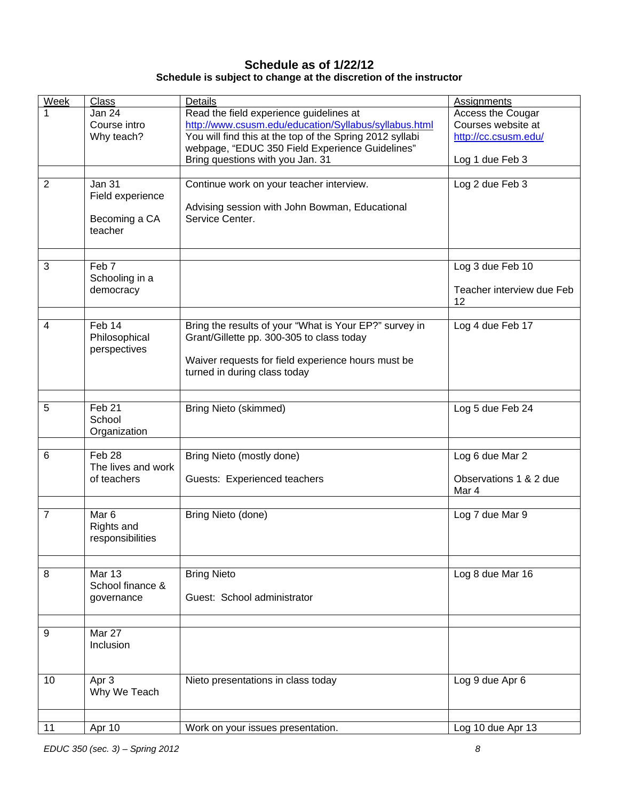# **Schedule as of 1/22/12 Schedule is subject to change at the discretion of the instructor**

| <b>Week</b>    | <b>Class</b>             | Details                                                  | <b>Assignments</b>        |
|----------------|--------------------------|----------------------------------------------------------|---------------------------|
| 1              | Jan 24                   | Read the field experience guidelines at                  | Access the Cougar         |
|                | Course intro             | http://www.csusm.edu/education/Syllabus/syllabus.html    | Courses website at        |
|                | Why teach?               | You will find this at the top of the Spring 2012 syllabi | http://cc.csusm.edu/      |
|                |                          | webpage, "EDUC 350 Field Experience Guidelines"          |                           |
|                |                          | Bring questions with you Jan. 31                         | Log 1 due Feb 3           |
|                |                          |                                                          |                           |
| $\overline{2}$ | <b>Jan 31</b>            | Continue work on your teacher interview.                 | Log 2 due Feb 3           |
|                | Field experience         |                                                          |                           |
|                |                          | Advising session with John Bowman, Educational           |                           |
|                | Becoming a CA<br>teacher | Service Center.                                          |                           |
|                |                          |                                                          |                           |
|                |                          |                                                          |                           |
| 3              | Feb <sub>7</sub>         |                                                          | Log 3 due Feb 10          |
|                | Schooling in a           |                                                          |                           |
|                | democracy                |                                                          | Teacher interview due Feb |
|                |                          |                                                          | 12                        |
|                |                          |                                                          |                           |
| $\overline{4}$ | Feb 14                   | Bring the results of your "What is Your EP?" survey in   | Log 4 due Feb 17          |
|                | Philosophical            | Grant/Gillette pp. 300-305 to class today                |                           |
|                | perspectives             |                                                          |                           |
|                |                          | Waiver requests for field experience hours must be       |                           |
|                |                          | turned in during class today                             |                           |
|                |                          |                                                          |                           |
| 5              | Feb <sub>21</sub>        | <b>Bring Nieto (skimmed)</b>                             | Log 5 due Feb 24          |
|                | School                   |                                                          |                           |
|                | Organization             |                                                          |                           |
|                |                          |                                                          |                           |
| 6              | Feb 28                   | Bring Nieto (mostly done)                                | Log 6 due Mar 2           |
|                | The lives and work       |                                                          |                           |
|                | of teachers              | Guests: Experienced teachers                             | Observations 1 & 2 due    |
|                |                          |                                                          | Mar 4                     |
| $\overline{7}$ | Mar <sub>6</sub>         |                                                          |                           |
|                | Rights and               | Bring Nieto (done)                                       | Log 7 due Mar 9           |
|                | responsibilities         |                                                          |                           |
|                |                          |                                                          |                           |
|                |                          |                                                          |                           |
| 8              | <b>Mar 13</b>            | <b>Bring Nieto</b>                                       | Log 8 due Mar 16          |
|                | School finance &         |                                                          |                           |
|                | governance               | Guest: School administrator                              |                           |
|                |                          |                                                          |                           |
|                |                          |                                                          |                           |
| 9              | Mar 27<br>Inclusion      |                                                          |                           |
|                |                          |                                                          |                           |
|                |                          |                                                          |                           |
| 10             | Apr 3                    | Nieto presentations in class today                       | Log 9 due Apr 6           |
|                | Why We Teach             |                                                          |                           |
|                |                          |                                                          |                           |
|                |                          |                                                          |                           |
| 11             | Apr 10                   | Work on your issues presentation.                        | Log 10 due Apr 13         |